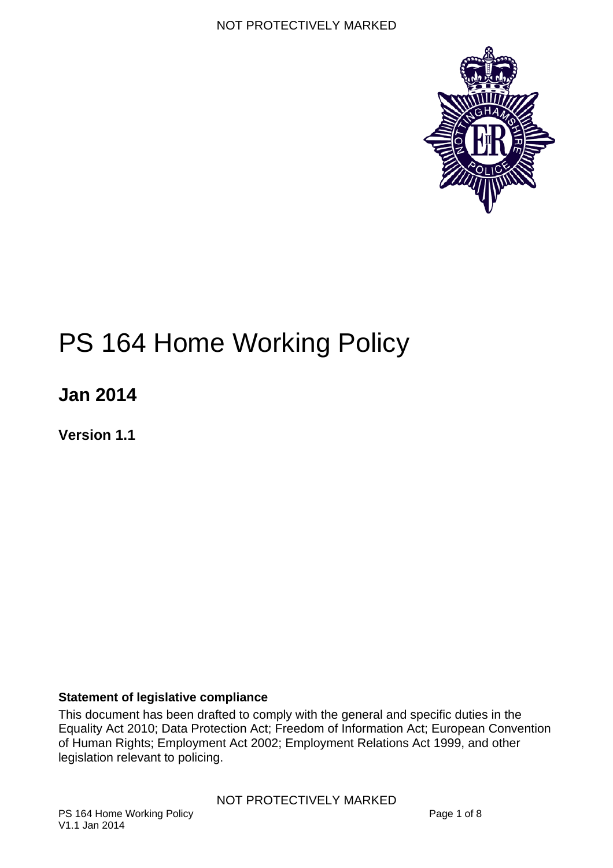

# PS 164 Home Working Policy

**Jan 2014** 

**Version 1.1** 

#### <span id="page-0-0"></span>**Statement of legislative compliance**

This document has been drafted to comply with the general and specific duties in the Equality Act 2010; Data Protection Act; Freedom of Information Act; European Convention of Human Rights; Employment Act 2002; Employment Relations Act 1999, and other legislation relevant to policing.

NOT PROTECTIVELY MARKED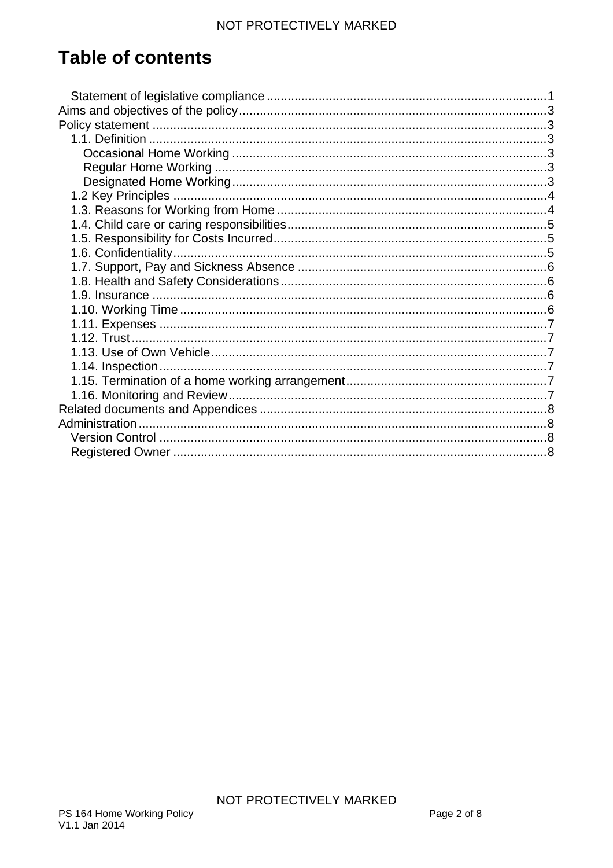# **Table of contents**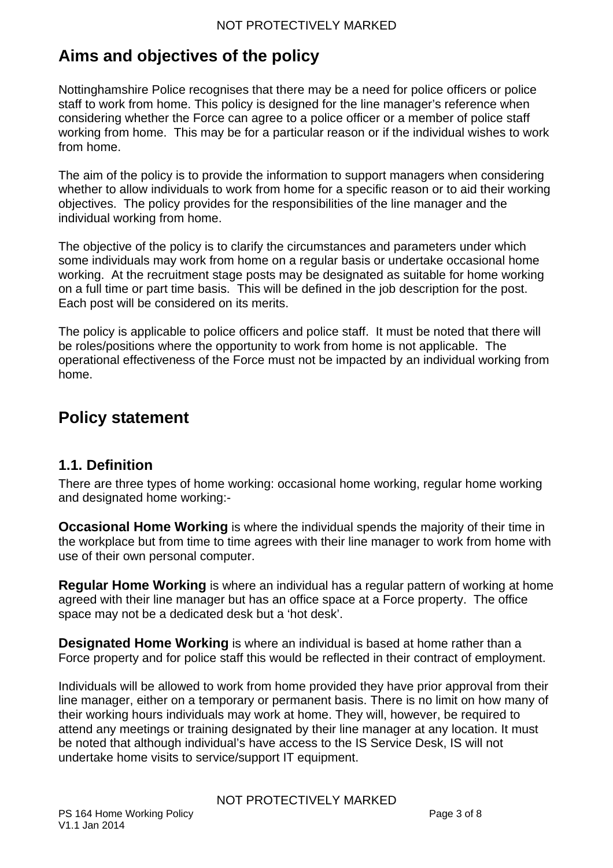# <span id="page-2-0"></span>**Aims and objectives of the policy**

Nottinghamshire Police recognises that there may be a need for police officers or police staff to work from home. This policy is designed for the line manager's reference when considering whether the Force can agree to a police officer or a member of police staff working from home. This may be for a particular reason or if the individual wishes to work from home.

The aim of the policy is to provide the information to support managers when considering whether to allow individuals to work from home for a specific reason or to aid their working objectives. The policy provides for the responsibilities of the line manager and the individual working from home.

The objective of the policy is to clarify the circumstances and parameters under which some individuals may work from home on a regular basis or undertake occasional home working. At the recruitment stage posts may be designated as suitable for home working on a full time or part time basis. This will be defined in the job description for the post. Each post will be considered on its merits.

The policy is applicable to police officers and police staff. It must be noted that there will be roles/positions where the opportunity to work from home is not applicable. The operational effectiveness of the Force must not be impacted by an individual working from home.

## <span id="page-2-1"></span>**Policy statement**

#### <span id="page-2-2"></span>**1.1. Definition**

There are three types of home working: occasional home working, regular home working and designated home working:-

<span id="page-2-3"></span>**Occasional Home Working** is where the individual spends the majority of their time in the workplace but from time to time agrees with their line manager to work from home with use of their own personal computer.

<span id="page-2-4"></span>**Regular Home Working** is where an individual has a regular pattern of working at home agreed with their line manager but has an office space at a Force property. The office space may not be a dedicated desk but a 'hot desk'.

<span id="page-2-5"></span>**Designated Home Working** is where an individual is based at home rather than a Force property and for police staff this would be reflected in their contract of employment.

Individuals will be allowed to work from home provided they have prior approval from their line manager, either on a temporary or permanent basis. There is no limit on how many of their working hours individuals may work at home. They will, however, be required to attend any meetings or training designated by their line manager at any location. It must be noted that although individual's have access to the IS Service Desk, IS will not undertake home visits to service/support IT equipment.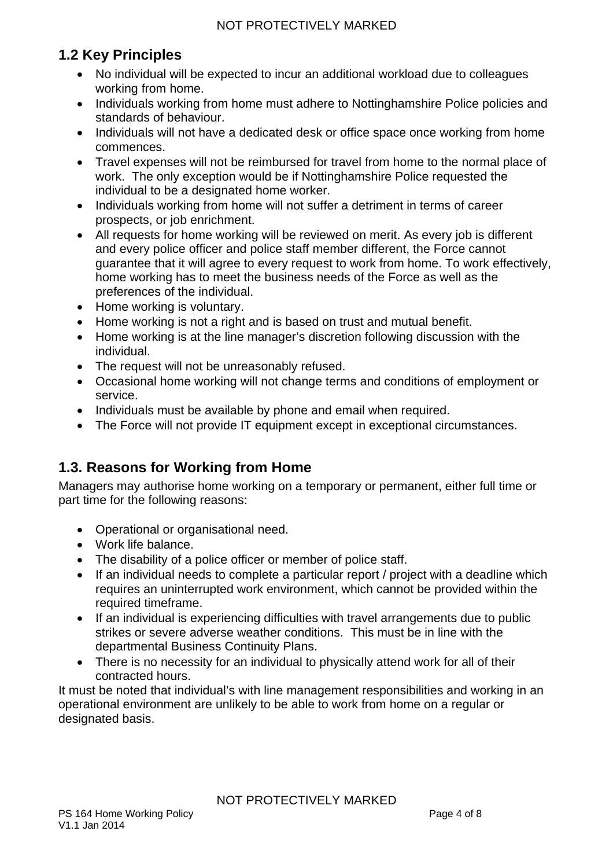## <span id="page-3-0"></span>**1.2 Key Principles**

- No individual will be expected to incur an additional workload due to colleagues working from home.
- Individuals working from home must adhere to Nottinghamshire Police policies and standards of behaviour.
- Individuals will not have a dedicated desk or office space once working from home commences.
- Travel expenses will not be reimbursed for travel from home to the normal place of work. The only exception would be if Nottinghamshire Police requested the individual to be a designated home worker.
- Individuals working from home will not suffer a detriment in terms of career prospects, or job enrichment.
- All requests for home working will be reviewed on merit. As every job is different and every police officer and police staff member different, the Force cannot guarantee that it will agree to every request to work from home. To work effectively, home working has to meet the business needs of the Force as well as the preferences of the individual.
- Home working is voluntary.
- Home working is not a right and is based on trust and mutual benefit.
- Home working is at the line manager's discretion following discussion with the individual.
- The request will not be unreasonably refused.
- Occasional home working will not change terms and conditions of employment or service.
- Individuals must be available by phone and email when required.
- The Force will not provide IT equipment except in exceptional circumstances.

#### <span id="page-3-1"></span>**1.3. Reasons for Working from Home**

Managers may authorise home working on a temporary or permanent, either full time or part time for the following reasons:

- Operational or organisational need.
- Work life balance.
- The disability of a police officer or member of police staff.
- If an individual needs to complete a particular report / project with a deadline which requires an uninterrupted work environment, which cannot be provided within the required timeframe.
- If an individual is experiencing difficulties with travel arrangements due to public strikes or severe adverse weather conditions. This must be in line with the departmental Business Continuity Plans.
- There is no necessity for an individual to physically attend work for all of their contracted hours.

It must be noted that individual's with line management responsibilities and working in an operational environment are unlikely to be able to work from home on a regular or designated basis.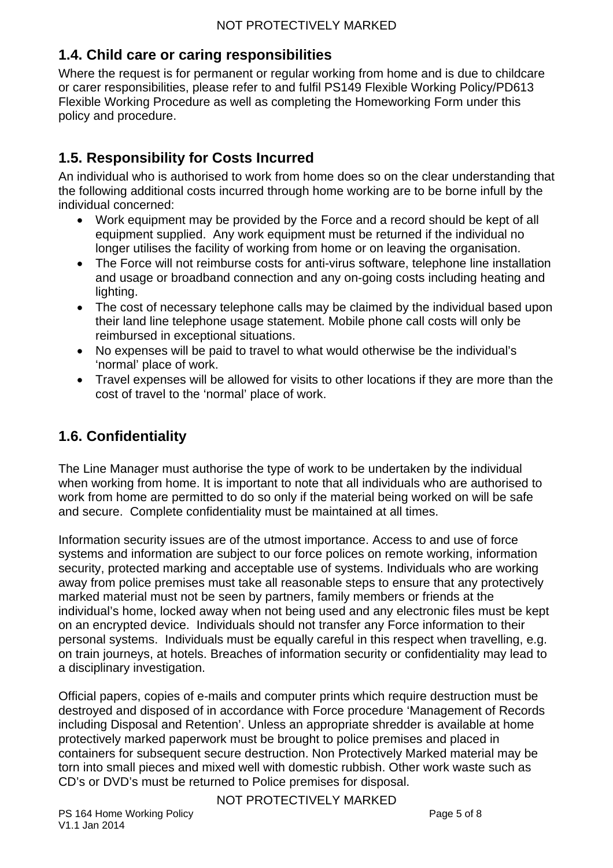#### <span id="page-4-0"></span>**1.4. Child care or caring responsibilities**

Where the request is for permanent or regular working from home and is due to childcare or carer responsibilities, please refer to and fulfil PS149 Flexible Working Policy/PD613 Flexible Working Procedure as well as completing the Homeworking Form under this policy and procedure.

### <span id="page-4-1"></span>**1.5. Responsibility for Costs Incurred**

An individual who is authorised to work from home does so on the clear understanding that the following additional costs incurred through home working are to be borne infull by the individual concerned:

- Work equipment may be provided by the Force and a record should be kept of all equipment supplied. Any work equipment must be returned if the individual no longer utilises the facility of working from home or on leaving the organisation.
- The Force will not reimburse costs for anti-virus software, telephone line installation and usage or broadband connection and any on-going costs including heating and lighting.
- The cost of necessary telephone calls may be claimed by the individual based upon their land line telephone usage statement. Mobile phone call costs will only be reimbursed in exceptional situations.
- No expenses will be paid to travel to what would otherwise be the individual's 'normal' place of work.
- Travel expenses will be allowed for visits to other locations if they are more than the cost of travel to the 'normal' place of work.

#### <span id="page-4-2"></span>**1.6. Confidentiality**

The Line Manager must authorise the type of work to be undertaken by the individual when working from home. It is important to note that all individuals who are authorised to work from home are permitted to do so only if the material being worked on will be safe and secure. Complete confidentiality must be maintained at all times.

Information security issues are of the utmost importance. Access to and use of force systems and information are subject to our force polices on remote working, information security, protected marking and acceptable use of systems. Individuals who are working away from police premises must take all reasonable steps to ensure that any protectively marked material must not be seen by partners, family members or friends at the individual's home, locked away when not being used and any electronic files must be kept on an encrypted device. Individuals should not transfer any Force information to their personal systems. Individuals must be equally careful in this respect when travelling, e.g. on train journeys, at hotels. Breaches of information security or confidentiality may lead to a disciplinary investigation.

Official papers, copies of e-mails and computer prints which require destruction must be destroyed and disposed of in accordance with Force procedure 'Management of Records including Disposal and Retention'. Unless an appropriate shredder is available at home protectively marked paperwork must be brought to police premises and placed in containers for subsequent secure destruction. Non Protectively Marked material may be torn into small pieces and mixed well with domestic rubbish. Other work waste such as CD's or DVD's must be returned to Police premises for disposal.

NOT PROTECTIVELY MARKED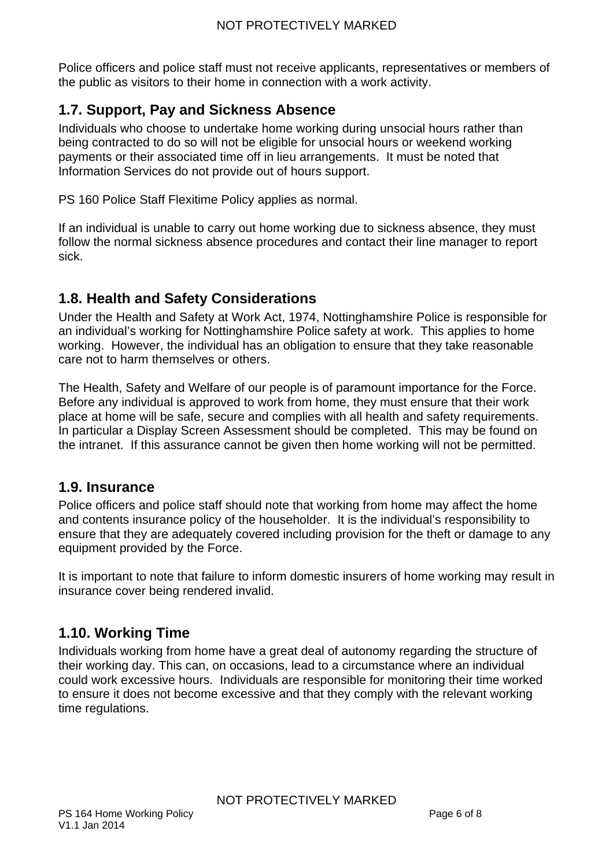Police officers and police staff must not receive applicants, representatives or members of the public as visitors to their home in connection with a work activity.

#### <span id="page-5-0"></span>**1.7. Support, Pay and Sickness Absence**

Individuals who choose to undertake home working during unsocial hours rather than being contracted to do so will not be eligible for unsocial hours or weekend working payments or their associated time off in lieu arrangements. It must be noted that Information Services do not provide out of hours support.

PS 160 Police Staff Flexitime Policy applies as normal.

If an individual is unable to carry out home working due to sickness absence, they must follow the normal sickness absence procedures and contact their line manager to report sick.

#### <span id="page-5-1"></span>**1.8. Health and Safety Considerations**

Under the Health and Safety at Work Act, 1974, Nottinghamshire Police is responsible for an individual's working for Nottinghamshire Police safety at work. This applies to home working. However, the individual has an obligation to ensure that they take reasonable care not to harm themselves or others.

The Health, Safety and Welfare of our people is of paramount importance for the Force. Before any individual is approved to work from home, they must ensure that their work place at home will be safe, secure and complies with all health and safety requirements. In particular a Display Screen Assessment should be completed. This may be found on the intranet. If this assurance cannot be given then home working will not be permitted.

#### <span id="page-5-2"></span>**1.9. Insurance**

Police officers and police staff should note that working from home may affect the home and contents insurance policy of the householder. It is the individual's responsibility to ensure that they are adequately covered including provision for the theft or damage to any equipment provided by the Force.

It is important to note that failure to inform domestic insurers of home working may result in insurance cover being rendered invalid.

#### <span id="page-5-3"></span>**1.10. Working Time**

Individuals working from home have a great deal of autonomy regarding the structure of their working day. This can, on occasions, lead to a circumstance where an individual could work excessive hours. Individuals are responsible for monitoring their time worked to ensure it does not become excessive and that they comply with the relevant working time regulations.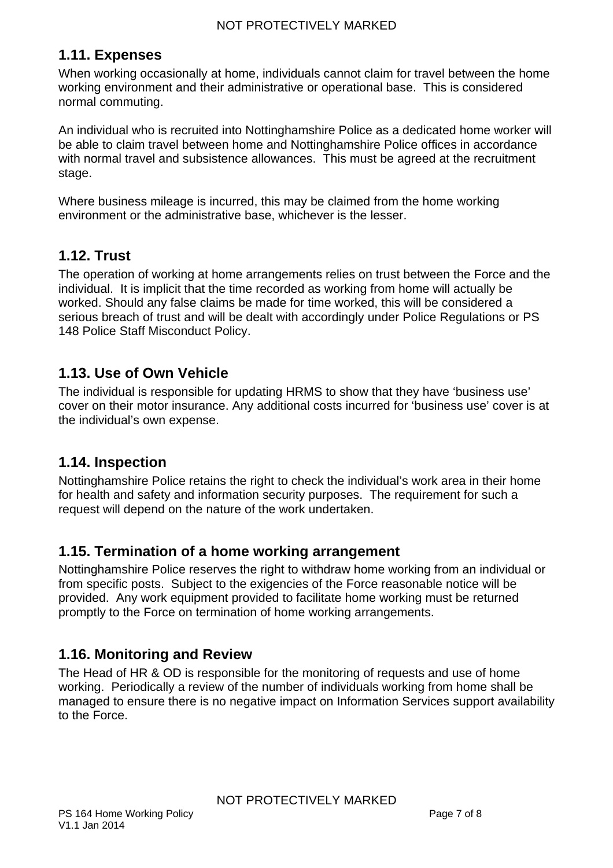#### <span id="page-6-0"></span>**1.11. Expenses**

When working occasionally at home, individuals cannot claim for travel between the home working environment and their administrative or operational base. This is considered normal commuting.

An individual who is recruited into Nottinghamshire Police as a dedicated home worker will be able to claim travel between home and Nottinghamshire Police offices in accordance with normal travel and subsistence allowances. This must be agreed at the recruitment stage.

Where business mileage is incurred, this may be claimed from the home working environment or the administrative base, whichever is the lesser.

#### <span id="page-6-1"></span>**1.12. Trust**

The operation of working at home arrangements relies on trust between the Force and the individual. It is implicit that the time recorded as working from home will actually be worked. Should any false claims be made for time worked, this will be considered a serious breach of trust and will be dealt with accordingly under Police Regulations or PS 148 Police Staff Misconduct Policy.

#### <span id="page-6-2"></span>**1.13. Use of Own Vehicle**

The individual is responsible for updating HRMS to show that they have 'business use' cover on their motor insurance. Any additional costs incurred for 'business use' cover is at the individual's own expense.

#### <span id="page-6-3"></span>**1.14. Inspection**

Nottinghamshire Police retains the right to check the individual's work area in their home for health and safety and information security purposes. The requirement for such a request will depend on the nature of the work undertaken.

#### <span id="page-6-4"></span>**1.15. Termination of a home working arrangement**

Nottinghamshire Police reserves the right to withdraw home working from an individual or from specific posts. Subject to the exigencies of the Force reasonable notice will be provided. Any work equipment provided to facilitate home working must be returned promptly to the Force on termination of home working arrangements.

#### <span id="page-6-5"></span>**1.16. Monitoring and Review**

The Head of HR & OD is responsible for the monitoring of requests and use of home working. Periodically a review of the number of individuals working from home shall be managed to ensure there is no negative impact on Information Services support availability to the Force.